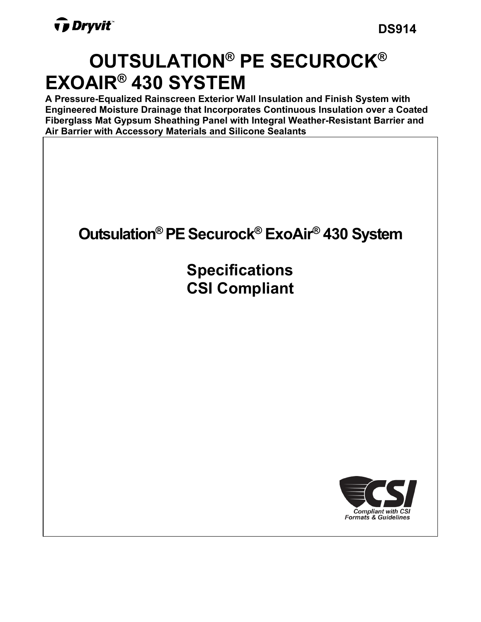# **OUTSULATION® PE SECUROCK® EXOAIR® 430 SYSTEM**

**A Pressure-Equalized Rainscreen Exterior Wall Insulation and Finish System with Engineered Moisture Drainage that Incorporates Continuous Insulation over a Coated Fiberglass Mat Gypsum Sheathing Panel with Integral Weather-Resistant Barrier and Air Barrier with Accessory Materials and Silicone Sealants**

# **Outsulation® PESecurock® ExoAir® 430 System**

**Specifications CSI Compliant**

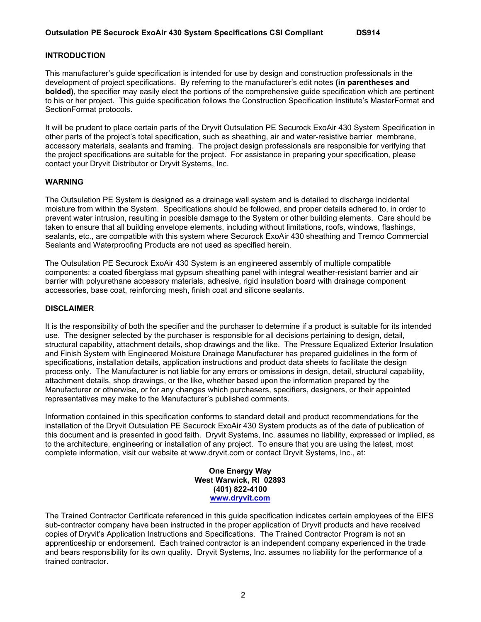#### **INTRODUCTION**

This manufacturer's guide specification is intended for use by design and construction professionals in the development of project specifications. By referring to the manufacturer's edit notes **(in parentheses and bolded)**, the specifier may easily elect the portions of the comprehensive guide specification which are pertinent to his or her project. This guide specification follows the Construction Specification Institute's MasterFormat and SectionFormat protocols.

It will be prudent to place certain parts of the Dryvit Outsulation PE Securock ExoAir 430 System Specification in other parts of the project's total specification, such as sheathing, air and water-resistive barrier membrane, accessory materials, sealants and framing. The project design professionals are responsible for verifying that the project specifications are suitable for the project. For assistance in preparing your specification, please contact your Dryvit Distributor or Dryvit Systems, Inc.

#### **WARNING**

The Outsulation PE System is designed as a drainage wall system and is detailed to discharge incidental moisture from within the System. Specifications should be followed, and proper details adhered to, in order to prevent water intrusion, resulting in possible damage to the System or other building elements. Care should be taken to ensure that all building envelope elements, including without limitations, roofs, windows, flashings, sealants, etc., are compatible with this system where Securock ExoAir 430 sheathing and Tremco Commercial Sealants and Waterproofing Products are not used as specified herein.

The Outsulation PE Securock ExoAir 430 System is an engineered assembly of multiple compatible components: a coated fiberglass mat gypsum sheathing panel with integral weather-resistant barrier and air barrier with polyurethane accessory materials, adhesive, rigid insulation board with drainage component accessories, base coat, reinforcing mesh, finish coat and silicone sealants.

#### **DISCLAIMER**

It is the responsibility of both the specifier and the purchaser to determine if a product is suitable for its intended use. The designer selected by the purchaser is responsible for all decisions pertaining to design, detail, structural capability, attachment details, shop drawings and the like. The Pressure Equalized Exterior Insulation and Finish System with Engineered Moisture Drainage Manufacturer has prepared guidelines in the form of specifications, installation details, application instructions and product data sheets to facilitate the design process only. The Manufacturer is not liable for any errors or omissions in design, detail, structural capability, attachment details, shop drawings, or the like, whether based upon the information prepared by the Manufacturer or otherwise, or for any changes which purchasers, specifiers, designers, or their appointed representatives may make to the Manufacturer's published comments.

Information contained in this specification conforms to standard detail and product recommendations for the installation of the Dryvit Outsulation PE Securock ExoAir 430 System products as of the date of publication of this document and is presented in good faith. Dryvit Systems, Inc. assumes no liability, expressed or implied, as to the architecture, engineering or installation of any project. To ensure that you are using the latest, most complete information, visit our website at www.dryvit.com or contact Dryvit Systems, Inc., at:

> **One Energy Way West Warwick, RI 02893 (401) 822-4100 [www.dryvit.com](http://www.dryvit.com/)**

The Trained Contractor Certificate referenced in this guide specification indicates certain employees of the EIFS sub-contractor company have been instructed in the proper application of Dryvit products and have received copies of Dryvit's Application Instructions and Specifications. The Trained Contractor Program is not an apprenticeship or endorsement. Each trained contractor is an independent company experienced in the trade and bears responsibility for its own quality. Dryvit Systems, Inc. assumes no liability for the performance of a trained contractor.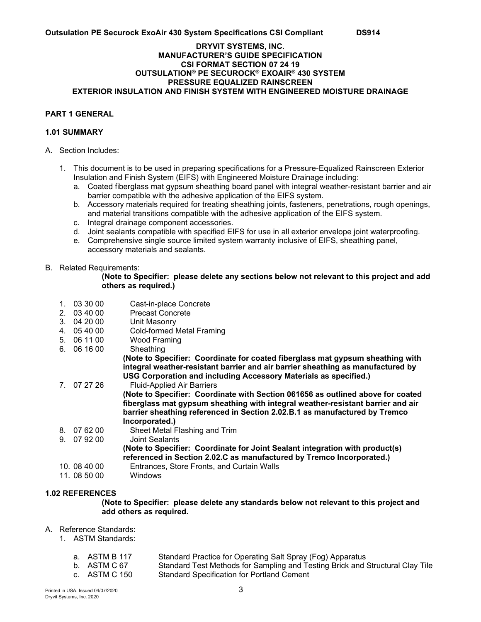#### **DRYVIT SYSTEMS, INC. MANUFACTURER'S GUIDE SPECIFICATION CSI FORMAT SECTION 07 24 19 OUTSULATION® PE SECUROCK® EXOAIR® 430 SYSTEM PRESSURE EQUALIZED RAINSCREEN EXTERIOR INSULATION AND FINISH SYSTEM WITH ENGINEERED MOISTURE DRAINAGE**

#### **PART 1 GENERAL**

#### **1.01 SUMMARY**

- A. Section Includes:
	- 1. This document is to be used in preparing specifications for a Pressure-Equalized Rainscreen Exterior Insulation and Finish System (EIFS) with Engineered Moisture Drainage including:
		- a. Coated fiberglass mat gypsum sheathing board panel with integral weather-resistant barrier and air barrier compatible with the adhesive application of the EIFS system.
		- b. Accessory materials required for treating sheathing joints, fasteners, penetrations, rough openings, and material transitions compatible with the adhesive application of the EIFS system.
		- c. Integral drainage component accessories.
		- d. Joint sealants compatible with specified EIFS for use in all exterior envelope joint waterproofing.
		- e. Comprehensive single source limited system warranty inclusive of EIFS, sheathing panel, accessory materials and sealants.

#### B. Related Requirements:

#### **(Note to Specifier: please delete any sections below not relevant to this project and add others as required.)**

- 1. 03 30 00 Cast-in-place Concrete
- Precast Concrete
- 3. 04 20 00 Unit Masonry<br>4. 05 40 00 Cold-formed N
- 4. 05 40 00 Cold-formed Metal Framing<br>5. 06 11 00 Wood Framing
- Wood Framing<br>Sheathing
- 6.  $06 16 00$

**(Note to Specifier: Coordinate for coated fiberglass mat gypsum sheathing with integral weather-resistant barrier and air barrier sheathing as manufactured by USG Corporation and including Accessory Materials as specified.)** 

7. 07 27 26 Fluid-Applied Air Barriers **(Note to Specifier: Coordinate with Section 061656 as outlined above for coated fiberglass mat gypsum sheathing with integral weather-resistant barrier and air barrier sheathing referenced in Section 2.02.B.1 as manufactured by Tremco Incorporated.)**  8. 07 62 00 Sheet Metal Flashing and Trim 9. 07 92 00 Joint Sealants **(Note to Specifier: Coordinate for Joint Sealant integration with product(s) referenced in Section 2.02.C as manufactured by Tremco Incorporated.)**  10. 08 40 00 Entrances, Store Fronts, and Curtain Walls 11. 08 50 00 Windows

# **1.02 REFERENCES**

**(Note to Specifier: please delete any standards below not relevant to this project and add others as required.** 

- A. Reference Standards:
	- 1. ASTM Standards:
		-
		-

a. ASTM B 117 Standard Practice for Operating Salt Spray (Fog) Apparatus<br>b. ASTM C 67 Standard Test Methods for Sampling and Testing Brick and \ b. ASTM C 67 Standard Test Methods for Sampling and Testing Brick and Structural Clay Tile<br>c. ASTM C 150 Standard Specification for Portland Cement Standard Specification for Portland Cement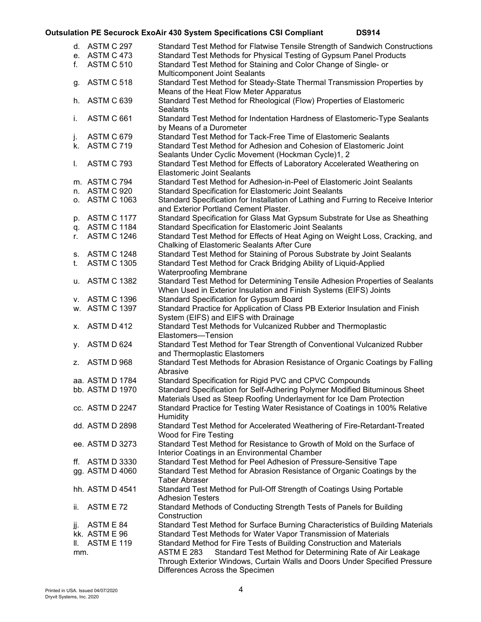| f.  | d. ASTM C 297<br>e. ASTM C 473<br><b>ASTM C 510</b> | Standard Test Method for Flatwise Tensile Strength of Sandwich Constructions<br>Standard Test Methods for Physical Testing of Gypsum Panel Products<br>Standard Test Method for Staining and Color Change of Single- or |
|-----|-----------------------------------------------------|-------------------------------------------------------------------------------------------------------------------------------------------------------------------------------------------------------------------------|
|     |                                                     | <b>Multicomponent Joint Sealants</b>                                                                                                                                                                                    |
| g.  | ASTM C 518                                          | Standard Test Method for Steady-State Thermal Transmission Properties by                                                                                                                                                |
|     |                                                     | Means of the Heat Flow Meter Apparatus                                                                                                                                                                                  |
| h.  | ASTM C 639                                          | Standard Test Method for Rheological (Flow) Properties of Elastomeric<br><b>Sealants</b>                                                                                                                                |
| i.  | ASTM C 661                                          | Standard Test Method for Indentation Hardness of Elastomeric-Type Sealants<br>by Means of a Durometer                                                                                                                   |
| j.  | ASTM C 679                                          | Standard Test Method for Tack-Free Time of Elastomeric Sealants                                                                                                                                                         |
|     | k. ASTM C 719                                       | Standard Test Method for Adhesion and Cohesion of Elastomeric Joint                                                                                                                                                     |
|     |                                                     | Sealants Under Cyclic Movement (Hockman Cycle)1, 2                                                                                                                                                                      |
| L.  | ASTM C 793                                          | Standard Test Method for Effects of Laboratory Accelerated Weathering on<br><b>Elastomeric Joint Sealants</b>                                                                                                           |
|     | m. ASTM C 794                                       | Standard Test Method for Adhesion-in-Peel of Elastomeric Joint Sealants                                                                                                                                                 |
|     | n. ASTM C 920                                       | Standard Specification for Elastomeric Joint Sealants                                                                                                                                                                   |
|     | o. ASTM C 1063                                      | Standard Specification for Installation of Lathing and Furring to Receive Interior<br>and Exterior Portland Cement Plaster.                                                                                             |
| p.  | <b>ASTM C 1177</b>                                  | Standard Specification for Glass Mat Gypsum Substrate for Use as Sheathing                                                                                                                                              |
|     | q. ASTM C 1184                                      | <b>Standard Specification for Elastomeric Joint Sealants</b>                                                                                                                                                            |
| r.  | <b>ASTM C 1246</b>                                  | Standard Test Method for Effects of Heat Aging on Weight Loss, Cracking, and<br>Chalking of Elastomeric Sealants After Cure                                                                                             |
| s.  | ASTM C 1248                                         | Standard Test Method for Staining of Porous Substrate by Joint Sealants                                                                                                                                                 |
| t.  | <b>ASTM C 1305</b>                                  | Standard Test Method for Crack Bridging Ability of Liquid-Applied                                                                                                                                                       |
|     | u. ASTM C 1382                                      | <b>Waterproofing Membrane</b><br>Standard Test Method for Determining Tensile Adhesion Properties of Sealants                                                                                                           |
|     |                                                     | When Used in Exterior Insulation and Finish Systems (EIFS) Joints                                                                                                                                                       |
|     | v. ASTM C 1396                                      | Standard Specification for Gypsum Board                                                                                                                                                                                 |
|     | w. ASTM C 1397                                      | Standard Practice for Application of Class PB Exterior Insulation and Finish                                                                                                                                            |
|     |                                                     | System (EIFS) and EIFS with Drainage                                                                                                                                                                                    |
| х.  | ASTM D 412                                          | Standard Test Methods for Vulcanized Rubber and Thermoplastic                                                                                                                                                           |
|     |                                                     | Elastomers-Tension                                                                                                                                                                                                      |
| у.  | ASTM D 624                                          | Standard Test Method for Tear Strength of Conventional Vulcanized Rubber                                                                                                                                                |
|     | z. ASTM D 968                                       | and Thermoplastic Elastomers<br>Standard Test Methods for Abrasion Resistance of Organic Coatings by Falling                                                                                                            |
|     |                                                     | Abrasive                                                                                                                                                                                                                |
|     | aa. ASTM D 1784                                     | Standard Specification for Rigid PVC and CPVC Compounds                                                                                                                                                                 |
|     | bb. ASTM D 1970                                     | Standard Specification for Self-Adhering Polymer Modified Bituminous Sheet                                                                                                                                              |
|     |                                                     | Materials Used as Steep Roofing Underlayment for Ice Dam Protection                                                                                                                                                     |
|     | cc. ASTM D 2247                                     | Standard Practice for Testing Water Resistance of Coatings in 100% Relative<br><b>Humidity</b>                                                                                                                          |
|     | dd. ASTM D 2898                                     | Standard Test Method for Accelerated Weathering of Fire-Retardant-Treated<br>Wood for Fire Testing                                                                                                                      |
|     | ee. ASTM D 3273                                     | Standard Test Method for Resistance to Growth of Mold on the Surface of                                                                                                                                                 |
|     |                                                     | Interior Coatings in an Environmental Chamber                                                                                                                                                                           |
|     | ff. ASTM D 3330                                     | Standard Test Method for Peel Adhesion of Pressure-Sensitive Tape                                                                                                                                                       |
|     | gg. ASTM D 4060                                     | Standard Test Method for Abrasion Resistance of Organic Coatings by the<br><b>Taber Abraser</b>                                                                                                                         |
|     | hh. ASTM D 4541                                     | Standard Test Method for Pull-Off Strength of Coatings Using Portable                                                                                                                                                   |
|     |                                                     | <b>Adhesion Testers</b>                                                                                                                                                                                                 |
| ii. | ASTM E 72                                           | Standard Methods of Conducting Strength Tests of Panels for Building                                                                                                                                                    |
|     |                                                     | Construction                                                                                                                                                                                                            |
| jj. | ASTM E 84                                           | Standard Test Method for Surface Burning Characteristics of Building Materials                                                                                                                                          |
|     | kk. ASTM E 96                                       | Standard Test Methods for Water Vapor Transmission of Materials                                                                                                                                                         |
| II. | <b>ASTM E 119</b>                                   | Standard Method for Fire Tests of Building Construction and Materials                                                                                                                                                   |
| mm. |                                                     | Standard Test Method for Determining Rate of Air Leakage<br><b>ASTM E 283</b>                                                                                                                                           |
|     |                                                     | Through Exterior Windows, Curtain Walls and Doors Under Specified Pressure                                                                                                                                              |
|     |                                                     | Differences Across the Specimen                                                                                                                                                                                         |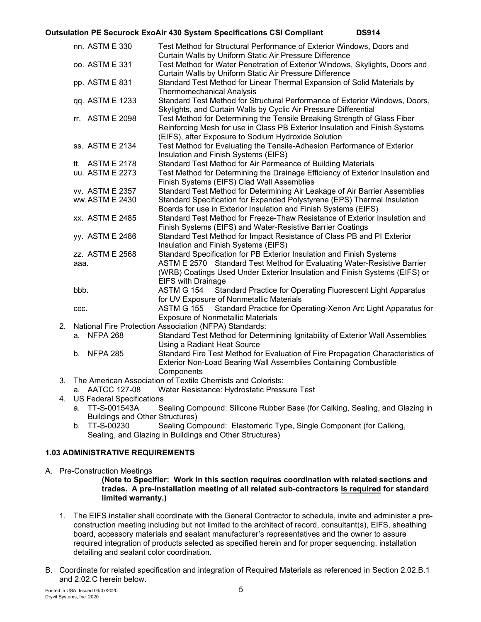|    | nn. ASTM E 330                   | Test Method for Structural Performance of Exterior Windows, Doors and<br>Curtain Walls by Uniform Static Air Pressure Difference                                                                               |  |  |  |  |  |
|----|----------------------------------|----------------------------------------------------------------------------------------------------------------------------------------------------------------------------------------------------------------|--|--|--|--|--|
|    | oo. ASTM E 331                   | Test Method for Water Penetration of Exterior Windows, Skylights, Doors and<br>Curtain Walls by Uniform Static Air Pressure Difference                                                                         |  |  |  |  |  |
|    | pp. ASTM E 831                   | Standard Test Method for Linear Thermal Expansion of Solid Materials by<br><b>Thermomechanical Analysis</b>                                                                                                    |  |  |  |  |  |
|    | qq. ASTM E 1233                  | Standard Test Method for Structural Performance of Exterior Windows, Doors,<br>Skylights, and Curtain Walls by Cyclic Air Pressure Differential                                                                |  |  |  |  |  |
|    | rr. ASTM E 2098                  | Test Method for Determining the Tensile Breaking Strength of Glass Fiber<br>Reinforcing Mesh for use in Class PB Exterior Insulation and Finish Systems<br>(EIFS), after Exposure to Sodium Hydroxide Solution |  |  |  |  |  |
|    | ss. ASTM E 2134                  | Test Method for Evaluating the Tensile-Adhesion Performance of Exterior<br>Insulation and Finish Systems (EIFS)                                                                                                |  |  |  |  |  |
|    | tt. ASTM E 2178                  | Standard Test Method for Air Permeance of Building Materials                                                                                                                                                   |  |  |  |  |  |
|    | uu. ASTM E 2273                  | Test Method for Determining the Drainage Efficiency of Exterior Insulation and<br>Finish Systems (EIFS) Clad Wall Assemblies                                                                                   |  |  |  |  |  |
|    | vv. ASTM E 2357                  | Standard Test Method for Determining Air Leakage of Air Barrier Assemblies                                                                                                                                     |  |  |  |  |  |
|    | ww.ASTM E 2430                   | Standard Specification for Expanded Polystyrene (EPS) Thermal Insulation<br>Boards for use in Exterior Insulation and Finish Systems (EIFS)                                                                    |  |  |  |  |  |
|    | xx. ASTM E 2485                  | Standard Test Method for Freeze-Thaw Resistance of Exterior Insulation and<br>Finish Systems (EIFS) and Water-Resistive Barrier Coatings                                                                       |  |  |  |  |  |
|    | yy. ASTM E 2486                  | Standard Test Method for Impact Resistance of Class PB and PI Exterior<br>Insulation and Finish Systems (EIFS)                                                                                                 |  |  |  |  |  |
|    | zz. ASTM E 2568                  | Standard Specification for PB Exterior Insulation and Finish Systems                                                                                                                                           |  |  |  |  |  |
|    | aaa.                             | ASTM E 2570 Standard Test Method for Evaluating Water-Resistive Barrier<br>(WRB) Coatings Used Under Exterior Insulation and Finish Systems (EIFS) or                                                          |  |  |  |  |  |
|    |                                  | <b>EIFS with Drainage</b>                                                                                                                                                                                      |  |  |  |  |  |
|    | bbb.                             | <b>ASTM G 154</b><br>Standard Practice for Operating Fluorescent Light Apparatus<br>for UV Exposure of Nonmetallic Materials                                                                                   |  |  |  |  |  |
|    | CCC.                             | Standard Practice for Operating-Xenon Arc Light Apparatus for<br><b>ASTM G 155</b><br><b>Exposure of Nonmetallic Materials</b>                                                                                 |  |  |  |  |  |
| 2. |                                  | National Fire Protection Association (NFPA) Standards:                                                                                                                                                         |  |  |  |  |  |
|    | a. NFPA 268                      | Standard Test Method for Determining Ignitability of Exterior Wall Assemblies<br>Using a Radiant Heat Source                                                                                                   |  |  |  |  |  |
|    | b. NFPA 285                      | Standard Fire Test Method for Evaluation of Fire Propagation Characteristics of<br>Exterior Non-Load Bearing Wall Assemblies Containing Combustible<br>Components                                              |  |  |  |  |  |
| 3. |                                  | The American Association of Textile Chemists and Colorists:                                                                                                                                                    |  |  |  |  |  |
|    | a. AATCC 127-08                  | Water Resistance: Hydrostatic Pressure Test                                                                                                                                                                    |  |  |  |  |  |
| 4. | <b>US Federal Specifications</b> |                                                                                                                                                                                                                |  |  |  |  |  |
|    | a. TT-S-001543A                  | Sealing Compound: Silicone Rubber Base (for Calking, Sealing, and Glazing in                                                                                                                                   |  |  |  |  |  |
|    |                                  |                                                                                                                                                                                                                |  |  |  |  |  |

Buildings and Other Structures) b. TT-S-00230 Sealing Compound: Elastomeric Type, Single Component (for Calking, Sealing, and Glazing in Buildings and Other Structures)

# **1.03 ADMINISTRATIVE REQUIREMENTS**

A. Pre-Construction Meetings

#### **(Note to Specifier: Work in this section requires coordination with related sections and trades. A pre-installation meeting of all related sub-contractors is required for standard limited warranty.)**

- 1. The EIFS installer shall coordinate with the General Contractor to schedule, invite and administer a preconstruction meeting including but not limited to the architect of record, consultant(s), EIFS, sheathing board, accessory materials and sealant manufacturer's representatives and the owner to assure required integration of products selected as specified herein and for proper sequencing, installation detailing and sealant color coordination.
- B. Coordinate for related specification and integration of Required Materials as referenced in Section 2.02.B.1 and 2.02.C herein below.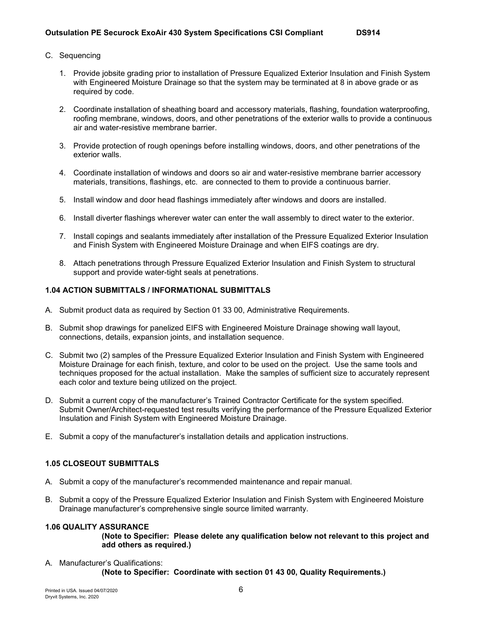- 1. Provide jobsite grading prior to installation of Pressure Equalized Exterior Insulation and Finish System with Engineered Moisture Drainage so that the system may be terminated at 8 in above grade or as required by code.
- 2. Coordinate installation of sheathing board and accessory materials, flashing, foundation waterproofing, roofing membrane, windows, doors, and other penetrations of the exterior walls to provide a continuous air and water-resistive membrane barrier.
- 3. Provide protection of rough openings before installing windows, doors, and other penetrations of the exterior walls.
- 4. Coordinate installation of windows and doors so air and water-resistive membrane barrier accessory materials, transitions, flashings, etc. are connected to them to provide a continuous barrier.
- 5. Install window and door head flashings immediately after windows and doors are installed.
- 6. Install diverter flashings wherever water can enter the wall assembly to direct water to the exterior.
- 7. Install copings and sealants immediately after installation of the Pressure Equalized Exterior Insulation and Finish System with Engineered Moisture Drainage and when EIFS coatings are dry.
- 8. Attach penetrations through Pressure Equalized Exterior Insulation and Finish System to structural support and provide water-tight seals at penetrations.

#### **1.04 ACTION SUBMITTALS / INFORMATIONAL SUBMITTALS**

- A. Submit product data as required by Section 01 33 00, Administrative Requirements.
- B. Submit shop drawings for panelized EIFS with Engineered Moisture Drainage showing wall layout, connections, details, expansion joints, and installation sequence.
- C. Submit two (2) samples of the Pressure Equalized Exterior Insulation and Finish System with Engineered Moisture Drainage for each finish, texture, and color to be used on the project. Use the same tools and techniques proposed for the actual installation. Make the samples of sufficient size to accurately represent each color and texture being utilized on the project.
- D. Submit a current copy of the manufacturer's Trained Contractor Certificate for the system specified. Submit Owner/Architect-requested test results verifying the performance of the Pressure Equalized Exterior Insulation and Finish System with Engineered Moisture Drainage.
- E. Submit a copy of the manufacturer's installation details and application instructions.

#### **1.05 CLOSEOUT SUBMITTALS**

- A. Submit a copy of the manufacturer's recommended maintenance and repair manual.
- B. Submit a copy of the Pressure Equalized Exterior Insulation and Finish System with Engineered Moisture Drainage manufacturer's comprehensive single source limited warranty.

#### **1.06 QUALITY ASSURANCE**

**(Note to Specifier: Please delete any qualification below not relevant to this project and add others as required.)**

A. Manufacturer's Qualifications: **(Note to Specifier: Coordinate with section 01 43 00, Quality Requirements.)**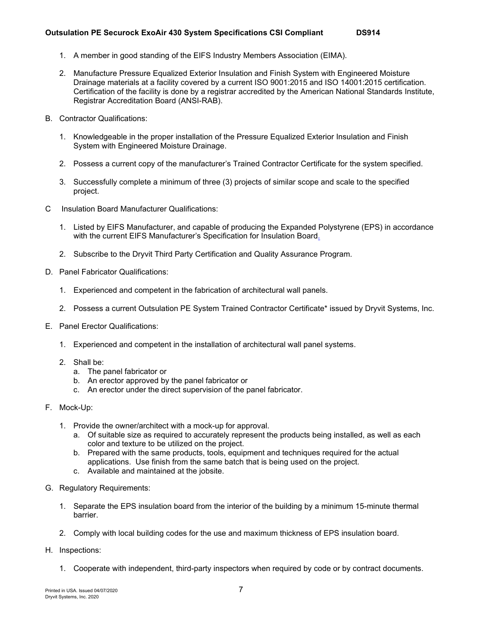- 1. A member in good standing of the EIFS Industry Members Association (EIMA).
- 2. Manufacture Pressure Equalized Exterior Insulation and Finish System with Engineered Moisture Drainage materials at a facility covered by a current ISO 9001:2015 and ISO 14001:2015 certification. Certification of the facility is done by a registrar accredited by the American National Standards Institute, Registrar Accreditation Board (ANSI-RAB).
- B. Contractor Qualifications:
	- 1. Knowledgeable in the proper installation of the Pressure Equalized Exterior Insulation and Finish System with Engineered Moisture Drainage.
	- 2. Possess a current copy of the manufacturer's Trained Contractor Certificate for the system specified.
	- 3. Successfully complete a minimum of three (3) projects of similar scope and scale to the specified project.
- C Insulation Board Manufacturer Qualifications:
	- 1. Listed by EIFS Manufacturer, and capable of producing the Expanded Polystyrene (EPS) in accordance with the current EIFS Manufacturer's Specification for Insulation Board.
	- 2. Subscribe to the Dryvit Third Party Certification and Quality Assurance Program.
- D. Panel Fabricator Qualifications:
	- 1. Experienced and competent in the fabrication of architectural wall panels.
	- 2. Possess a current Outsulation PE System Trained Contractor Certificate\* issued by Dryvit Systems, Inc.
- E. Panel Erector Qualifications:
	- 1. Experienced and competent in the installation of architectural wall panel systems.
	- 2. Shall be:
		- a. The panel fabricator or
		- b. An erector approved by the panel fabricator or
		- c. An erector under the direct supervision of the panel fabricator.
- F. Mock-Up:
	- 1. Provide the owner/architect with a mock-up for approval.
		- a. Of suitable size as required to accurately represent the products being installed, as well as each color and texture to be utilized on the project.
		- b. Prepared with the same products, tools, equipment and techniques required for the actual applications. Use finish from the same batch that is being used on the project.
		- c. Available and maintained at the jobsite.
- G. Regulatory Requirements:
	- 1. Separate the EPS insulation board from the interior of the building by a minimum 15-minute thermal barrier.
	- 2. Comply with local building codes for the use and maximum thickness of EPS insulation board.
- H. Inspections:
	- 1. Cooperate with independent, third-party inspectors when required by code or by contract documents.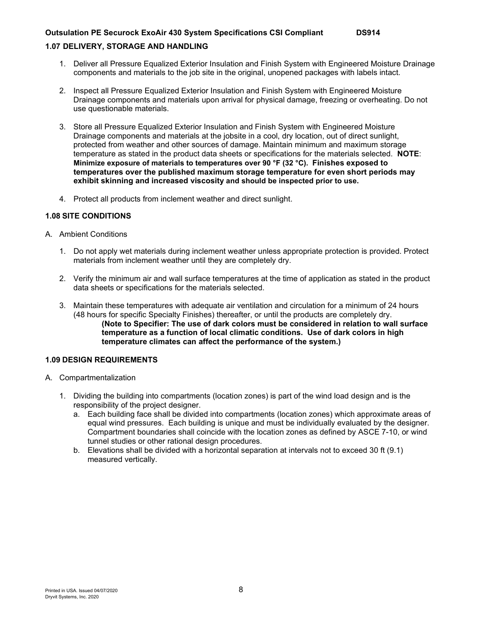## **1.07 DELIVERY, STORAGE AND HANDLING**

- 1. Deliver all Pressure Equalized Exterior Insulation and Finish System with Engineered Moisture Drainage components and materials to the job site in the original, unopened packages with labels intact.
- 2. Inspect all Pressure Equalized Exterior Insulation and Finish System with Engineered Moisture Drainage components and materials upon arrival for physical damage, freezing or overheating. Do not use questionable materials.
- 3. Store all Pressure Equalized Exterior Insulation and Finish System with Engineered Moisture Drainage components and materials at the jobsite in a cool, dry location, out of direct sunlight, protected from weather and other sources of damage. Maintain minimum and maximum storage temperature as stated in the product data sheets or specifications for the materials selected. **NOTE**: **Minimize exposure of materials to temperatures over 90 °F (32 °C). Finishes exposed to temperatures over the published maximum storage temperature for even short periods may exhibit skinning and increased viscosity and should be inspected prior to use.**
- 4. Protect all products from inclement weather and direct sunlight.

#### **1.08 SITE CONDITIONS**

- A. Ambient Conditions
	- 1. Do not apply wet materials during inclement weather unless appropriate protection is provided. Protect materials from inclement weather until they are completely dry.
	- 2. Verify the minimum air and wall surface temperatures at the time of application as stated in the product data sheets or specifications for the materials selected.
	- 3. Maintain these temperatures with adequate air ventilation and circulation for a minimum of 24 hours (48 hours for specific Specialty Finishes) thereafter, or until the products are completely dry. **(Note to Specifier: The use of dark colors must be considered in relation to wall surface temperature as a function of local climatic conditions. Use of dark colors in high temperature climates can affect the performance of the system.)**

#### **1.09 DESIGN REQUIREMENTS**

- A. Compartmentalization
	- 1. Dividing the building into compartments (location zones) is part of the wind load design and is the responsibility of the project designer.
		- a. Each building face shall be divided into compartments (location zones) which approximate areas of equal wind pressures. Each building is unique and must be individually evaluated by the designer. Compartment boundaries shall coincide with the location zones as defined by ASCE 7-10, or wind tunnel studies or other rational design procedures.
		- b. Elevations shall be divided with a horizontal separation at intervals not to exceed 30 ft (9.1) measured vertically.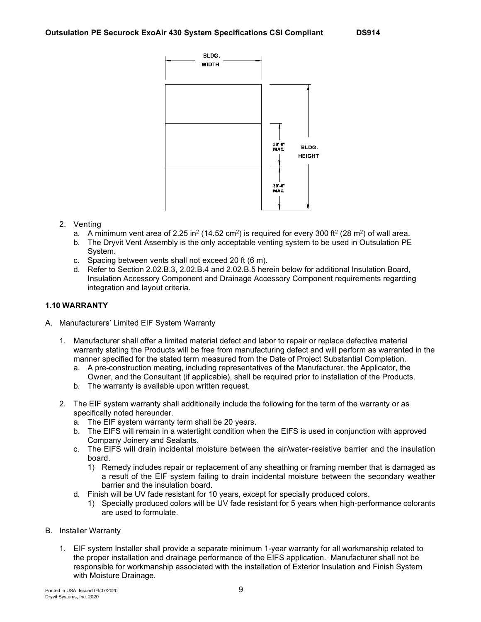

- 2. Venting
	- a. A minimum vent area of 2.25 in<sup>2</sup> (14.52 cm<sup>2</sup>) is required for every 300 ft<sup>2</sup> (28 m<sup>2</sup>) of wall area.
	- b. The Dryvit Vent Assembly is the only acceptable venting system to be used in Outsulation PE System.
	- c. Spacing between vents shall not exceed 20 ft (6 m).
	- d. Refer to Section 2.02.B.3, 2.02.B.4 and 2.02.B.5 herein below for additional Insulation Board, Insulation Accessory Component and Drainage Accessory Component requirements regarding integration and layout criteria.

# **1.10 WARRANTY**

- A. Manufacturers' Limited EIF System Warranty
	- 1. Manufacturer shall offer a limited material defect and labor to repair or replace defective material warranty stating the Products will be free from manufacturing defect and will perform as warranted in the manner specified for the stated term measured from the Date of Project Substantial Completion.
		- a. A pre-construction meeting, including representatives of the Manufacturer, the Applicator, the Owner, and the Consultant (if applicable), shall be required prior to installation of the Products.
		- b. The warranty is available upon written request.
	- 2. The EIF system warranty shall additionally include the following for the term of the warranty or as specifically noted hereunder.
		- a. The EIF system warranty term shall be 20 years.
		- b. The EIFS will remain in a watertight condition when the EIFS is used in conjunction with approved Company Joinery and Sealants.
		- c. The EIFS will drain incidental moisture between the air/water-resistive barrier and the insulation board.
			- 1) Remedy includes repair or replacement of any sheathing or framing member that is damaged as a result of the EIF system failing to drain incidental moisture between the secondary weather barrier and the insulation board.
		- d. Finish will be UV fade resistant for 10 years, except for specially produced colors.
			- 1) Specially produced colors will be UV fade resistant for 5 years when high-performance colorants are used to formulate.
- B. Installer Warranty
	- 1. EIF system Installer shall provide a separate minimum 1-year warranty for all workmanship related to the proper installation and drainage performance of the EIFS application. Manufacturer shall not be responsible for workmanship associated with the installation of Exterior Insulation and Finish System with Moisture Drainage.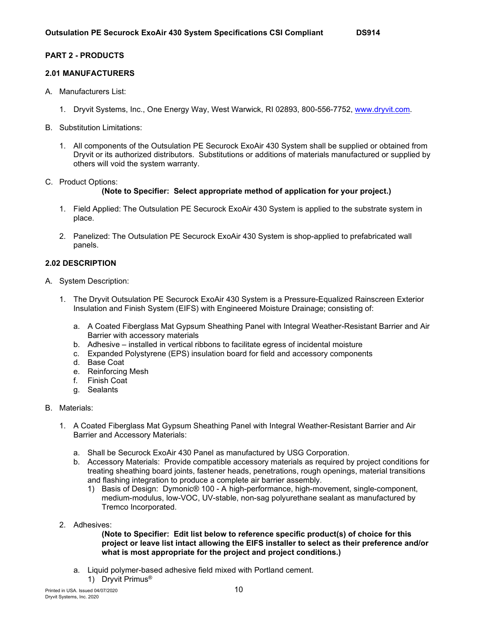## **2.01 MANUFACTURERS**

- A. Manufacturers List:
	- 1. Dryvit Systems, Inc., One Energy Way, West Warwick, RI 02893, 800-556-7752, [www.dryvit.com.](file://dry-ri-file/public/Marketing/Desktop%20Publishing/1%20-%20US%20DOCUMENTS/3%20-%20Specifications/ds853%20OPMD%20CSI%20Compliant%20Spec/www.dryvit.com)
- B. Substitution Limitations:
	- 1. All components of the Outsulation PE Securock ExoAir 430 System shall be supplied or obtained from Dryvit or its authorized distributors. Substitutions or additions of materials manufactured or supplied by others will void the system warranty.
- C. Product Options:

#### **(Note to Specifier: Select appropriate method of application for your project.)**

- 1. Field Applied: The Outsulation PE Securock ExoAir 430 System is applied to the substrate system in place.
- 2. Panelized: The Outsulation PE Securock ExoAir 430 System is shop-applied to prefabricated wall panels.

#### **2.02 DESCRIPTION**

- A. System Description:
	- 1. The Dryvit Outsulation PE Securock ExoAir 430 System is a Pressure-Equalized Rainscreen Exterior Insulation and Finish System (EIFS) with Engineered Moisture Drainage; consisting of:
		- a. A Coated Fiberglass Mat Gypsum Sheathing Panel with Integral Weather-Resistant Barrier and Air Barrier with accessory materials
		- b. Adhesive installed in vertical ribbons to facilitate egress of incidental moisture
		- c. Expanded Polystyrene (EPS) insulation board for field and accessory components
		- d. Base Coat
		- e. Reinforcing Mesh
		- f. Finish Coat
		- g. Sealants

#### B. Materials:

- 1. A Coated Fiberglass Mat Gypsum Sheathing Panel with Integral Weather-Resistant Barrier and Air Barrier and Accessory Materials:
	- a. Shall be Securock ExoAir 430 Panel as manufactured by USG Corporation.
	- b. Accessory Materials: Provide compatible accessory materials as required by project conditions for treating sheathing board joints, fastener heads, penetrations, rough openings, material transitions and flashing integration to produce a complete air barrier assembly.
		- 1) Basis of Design: Dymonic® 100 A high-performance, high-movement, single-component, medium-modulus, low-VOC, UV-stable, non-sag polyurethane sealant as manufactured by Tremco Incorporated.
- 2. Adhesives:

#### **(Note to Specifier: Edit list below to reference specific product(s) of choice for this project or leave list intact allowing the EIFS installer to select as their preference and/or what is most appropriate for the project and project conditions.)**

a. Liquid polymer-based adhesive field mixed with Portland cement. 1) Dryvit Primus®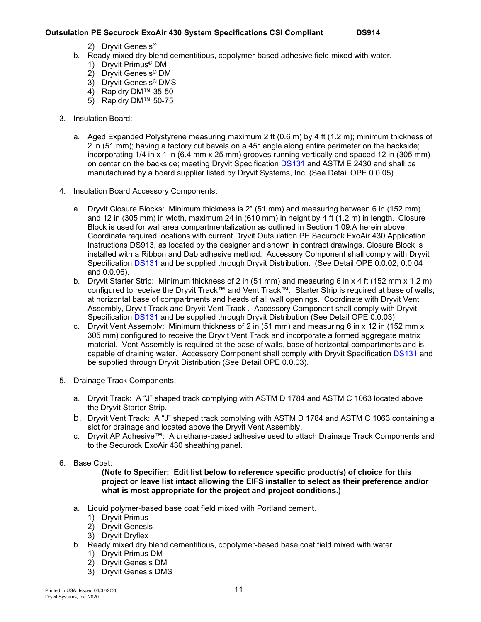- 2) Dryvit Genesis®
- b. Ready mixed dry blend cementitious, copolymer-based adhesive field mixed with water.
	- 1) Dryvit Primus® DM
	- 2) Dryvit Genesis® DM
	- 3) Dryvit Genesis® DMS
	- 4) Rapidry DM™ 35-50
	- 5) Rapidry DM™ 50-75
- 3. Insulation Board:
	- a. Aged Expanded Polystyrene measuring maximum 2 ft (0.6 m) by 4 ft (1.2 m); minimum thickness of 2 in (51 mm); having a factory cut bevels on a 45° angle along entire perimeter on the backside; incorporating 1/4 in x 1 in (6.4 mm x 25 mm) grooves running vertically and spaced 12 in (305 mm) on center on the backside; meeting Dryvit Specification [DS131](http://www.dryvit.com/media/202095/ds131_expanded-polystyrene-eps-insulation-board-specifications.pdf) and ASTM E 2430 and shall be manufactured by a board supplier listed by Dryvit Systems, Inc. (See Detail OPE 0.0.05).
- 4. Insulation Board Accessory Components:
	- a. Dryvit Closure Blocks: Minimum thickness is 2" (51 mm) and measuring between 6 in (152 mm) and 12 in (305 mm) in width, maximum 24 in (610 mm) in height by 4 ft (1.2 m) in length. Closure Block is used for wall area compartmentalization as outlined in Section 1.09.A herein above. Coordinate required locations with current Dryvit Outsulation PE Securock ExoAir 430 Application Instructions DS913, as located by the designer and shown in contract drawings. Closure Block is installed with a Ribbon and Dab adhesive method. Accessory Component shall comply with Dryvit Specification [DS131](http://www.dryvit.com/media/202095/ds131_expanded-polystyrene-eps-insulation-board-specifications.pdf) and be supplied through Dryvit Distribution. (See Detail OPE 0.0.02, 0.0.04 and 0.0.06).
	- b. Dryvit Starter Strip: Minimum thickness of 2 in (51 mm) and measuring 6 in x 4 ft (152 mm x 1.2 m) configured to receive the Dryvit Track™ and Vent Track™. Starter Strip is required at base of walls. at horizontal base of compartments and heads of all wall openings. Coordinate with Dryvit Vent Assembly, Dryvit Track and Dryvit Vent Track . Accessory Component shall comply with Dryvit Specification [DS131](http://www.dryvit.com/media/202095/ds131_expanded-polystyrene-eps-insulation-board-specifications.pdf) and be supplied through Dryvit Distribution (See Detail OPE 0.0.03).
	- c. Dryvit Vent Assembly: Minimum thickness of 2 in (51 mm) and measuring 6 in x 12 in (152 mm x 305 mm) configured to receive the Dryvit Vent Track and incorporate a formed aggregate matrix material. Vent Assembly is required at the base of walls, base of horizontal compartments and is capable of draining water. Accessory Component shall comply with Dryvit Specification [DS131](http://www.dryvit.com/media/202095/ds131_expanded-polystyrene-eps-insulation-board-specifications.pdf) and be supplied through Dryvit Distribution (See Detail OPE 0.0.03).
- 5. Drainage Track Components:
	- a. Dryvit Track: A "J" shaped track complying with ASTM D 1784 and ASTM C 1063 located above the Dryvit Starter Strip.
	- b. Dryvit Vent Track: A "J" shaped track complying with ASTM D 1784 and ASTM C 1063 containing a slot for drainage and located above the Dryvit Vent Assembly.
	- c. Dryvit AP Adhesive™: A urethane-based adhesive used to attach Drainage Track Components and to the Securock ExoAir 430 sheathing panel.
- 6. Base Coat:

#### **(Note to Specifier: Edit list below to reference specific product(s) of choice for this project or leave list intact allowing the EIFS installer to select as their preference and/or what is most appropriate for the project and project conditions.)**

- a. Liquid polymer-based base coat field mixed with Portland cement.
	- 1) Dryvit Primus
	- 2) Dryvit Genesis
	- 3) Dryvit Dryflex
- b. Ready mixed dry blend cementitious, copolymer-based base coat field mixed with water.
	- 1) Dryvit Primus DM
	- 2) Dryvit Genesis DM
	- 3) Dryvit Genesis DMS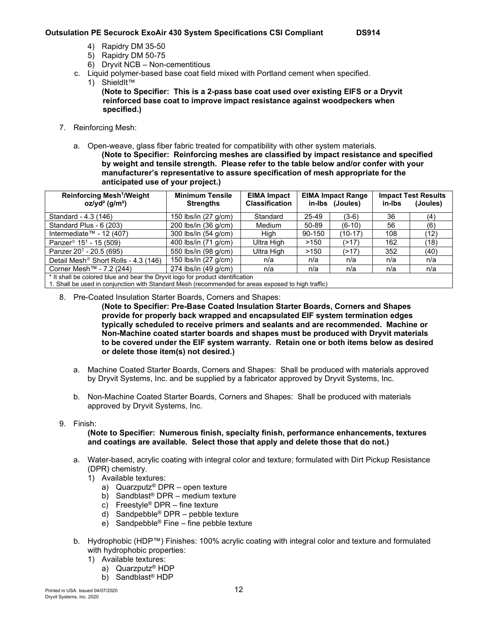- 4) Rapidry DM 35-50
- 5) Rapidry DM 50-75
- 6) Dryvit NCB Non-cementitious
- c. Liquid polymer-based base coat field mixed with Portland cement when specified.
	- 1) ShieldIt™
		- **(Note to Specifier: This is a 2-pass base coat used over existing EIFS or a Dryvit reinforced base coat to improve impact resistance against woodpeckers when specified.)**
- 7. Reinforcing Mesh:
	- a. Open-weave, glass fiber fabric treated for compatibility with other system materials. **(Note to Specifier: Reinforcing meshes are classified by impact resistance and specified by weight and tensile strength. Please refer to the table below and/or confer with your manufacturer's representative to assure specification of mesh appropriate for the anticipated use of your project.)**

| Reinforcing Mesh <sup>1</sup> /Weight<br>$oz/yd^2$ (g/m <sup>2</sup> )              | <b>Minimum Tensile</b><br><b>Strengths</b> | <b>EIMA Impact</b><br><b>Classification</b> |        | <b>EIMA Impact Range</b><br>in-Ibs (Joules) | in-Ibs | <b>Impact Test Results</b><br>(Joules) |  |  |
|-------------------------------------------------------------------------------------|--------------------------------------------|---------------------------------------------|--------|---------------------------------------------|--------|----------------------------------------|--|--|
| Standard - 4.3 (146)                                                                | 150 lbs/in (27 g/cm)                       | Standard                                    | 25-49  | $(3-6)$                                     | 36     | (4)                                    |  |  |
| Standard Plus - 6 (203)                                                             | 200 lbs/in (36 g/cm)                       | <b>Medium</b>                               | 50-89  | $(6-10)$                                    | 56     | (6)                                    |  |  |
| Intermediate™ - 12 (407)                                                            | 300 lbs/in (54 g/cm)                       | Hiah                                        | 90-150 | (10-17)                                     | 108    | (12)                                   |  |  |
| Panzer <sup>®</sup> $151$ - 15 (509)                                                | 400 lbs/in (71 g/cm)                       | Ultra High                                  | >150   | (>17)                                       | 162    | (18)                                   |  |  |
| Panzer 20 <sup>1</sup> - 20.5 (695)                                                 | 550 lbs/in (98 g/cm)                       | Ultra High                                  | >150   | (>17)                                       | 352    | (40)                                   |  |  |
| Detail Mesh <sup>®</sup> Short Rolls - 4.3 (146)                                    | 150 lbs/in (27 g/cm)                       | n/a                                         | n/a    | n/a                                         | n/a    | n/a                                    |  |  |
| Corner Mesh™ - 7.2 (244)                                                            | 274 lbs/in (49 g/cm)                       | n/a                                         | n/a    | n/a                                         | n/a    | n/a                                    |  |  |
| * It shall be colored blue and bear the Dryvit logo for product identification<br>. |                                            |                                             |        |                                             |        |                                        |  |  |

1. Shall be used in conjunction with Standard Mesh (recommended for areas exposed to high traffic)

8. Pre-Coated Insulation Starter Boards, Corners and Shapes:

**(Note to Specifier: Pre-Base Coated Insulation Starter Boards, Corners and Shapes provide for properly back wrapped and encapsulated EIF system termination edges typically scheduled to receive primers and sealants and are recommended. Machine or Non-Machine coated starter boards and shapes must be produced with Dryvit materials to be covered under the EIF system warranty. Retain one or both items below as desired or delete those item(s) not desired.)**

- a. Machine Coated Starter Boards, Corners and Shapes: Shall be produced with materials approved by Dryvit Systems, Inc. and be supplied by a fabricator approved by Dryvit Systems, Inc.
- b. Non-Machine Coated Starter Boards, Corners and Shapes: Shall be produced with materials approved by Dryvit Systems, Inc.
- 9. Finish:

#### **(Note to Specifier: Numerous finish, specialty finish, performance enhancements, textures and coatings are available. Select those that apply and delete those that do not.)**

- a. Water-based, acrylic coating with integral color and texture; formulated with Dirt Pickup Resistance (DPR) chemistry.
	- 1) Available textures:
		- a) Quarzputz® DPR open texture
		- b) Sandblast® DPR medium texture
		- c) Freestyle<sup>®</sup> DPR fine texture
		- d) Sandpebble® DPR pebble texture
		- e) Sandpebble® Fine fine pebble texture
- b. Hydrophobic (HDP™) Finishes: 100% acrylic coating with integral color and texture and formulated with hydrophobic properties:
	- 1) Available textures:
		- a) Quarzputz® HDP
		- b) Sandblast® HDP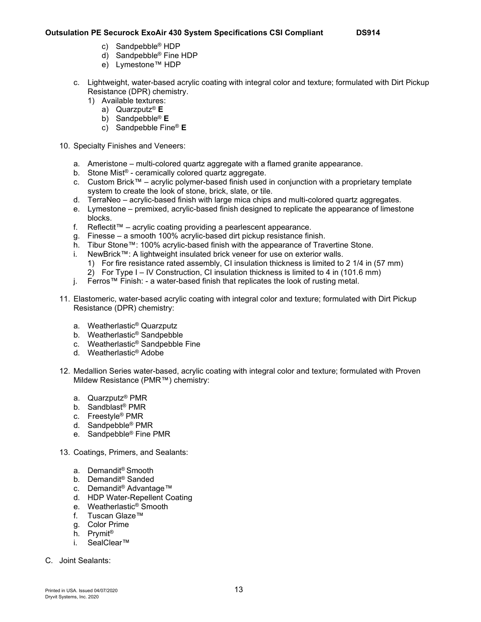- c) Sandpebble® HDP
- d) Sandpebble® Fine HDP
- e) Lymestone™ HDP
- c. Lightweight, water-based acrylic coating with integral color and texture; formulated with Dirt Pickup Resistance (DPR) chemistry.
	- 1) Available textures:
		- a) Quarzputz® **E**
		- b) Sandpebble® **E**
		- c) Sandpebble Fine® **E**
- 10. Specialty Finishes and Veneers:
	- a. Ameristone multi-colored quartz aggregate with a flamed granite appearance.
	- b. Stone Mist® ceramically colored quartz aggregate.
	- c. Custom Brick™ acrylic polymer-based finish used in conjunction with a proprietary template system to create the look of stone, brick, slate, or tile.
	- d. TerraNeo acrylic-based finish with large mica chips and multi-colored quartz aggregates.
	- e. Lymestone premixed, acrylic-based finish designed to replicate the appearance of limestone blocks.
	- f. Reflectit™ acrylic coating providing a pearlescent appearance.
	- g. Finesse a smooth 100% acrylic-based dirt pickup resistance finish.
	- h. Tibur Stone™: 100% acrylic-based finish with the appearance of Travertine Stone.
	- i. NewBrick™: A lightweight insulated brick veneer for use on exterior walls.
		- 1) For fire resistance rated assembly, CI insulation thickness is limited to 2 1/4 in (57 mm)
		- 2) For Type I IV Construction, CI insulation thickness is limited to 4 in (101.6 mm)
	- j. Ferros™ Finish: a water-based finish that replicates the look of rusting metal.
- 11. Elastomeric, water-based acrylic coating with integral color and texture; formulated with Dirt Pickup Resistance (DPR) chemistry:
	- a. Weatherlastic® Quarzputz
	- b. Weatherlastic® Sandpebble
	- c. Weatherlastic® Sandpebble Fine
	- d. Weatherlastic® Adobe
- 12. Medallion Series water-based, acrylic coating with integral color and texture; formulated with Proven Mildew Resistance (PMR™) chemistry:
	- a. Quarzputz® PMR
	- b. Sandblast® PMR
	- c. Freestyle® PMR
	- d. Sandpebble® PMR
	- e. Sandpebble® Fine PMR
- 13. Coatings, Primers, and Sealants:
	- a. Demandit® Smooth
	- b. Demandit® Sanded
	- c. Demandit® Advantage™
	- d. HDP Water-Repellent Coating
	- e. Weatherlastic® Smooth
	- f. Tuscan Glaze™
	- g. Color Prime
	- h. Prymit®
	- i. SealClear™
- C. Joint Sealants: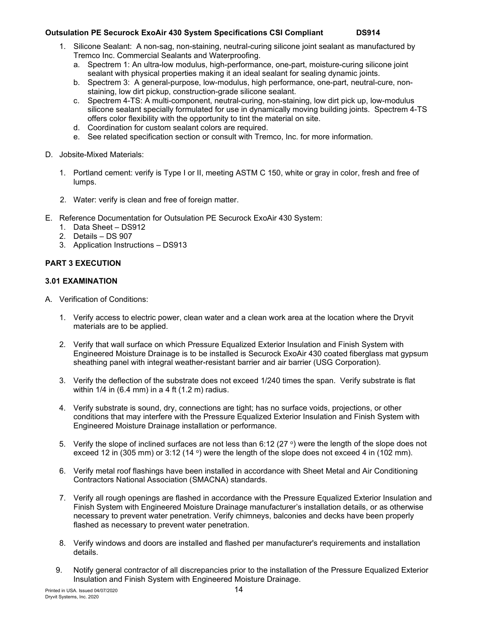- 1. Silicone Sealant: A non-sag, non-staining, neutral-curing silicone joint sealant as manufactured by Tremco Inc. Commercial Sealants and Waterproofing.
	- a. Spectrem 1: An ultra-low modulus, high-performance, one-part, moisture-curing silicone joint sealant with physical properties making it an ideal sealant for sealing dynamic joints.
	- b. Spectrem 3: A general-purpose, low-modulus, high performance, one-part, neutral-cure, nonstaining, low dirt pickup, construction-grade silicone sealant.
	- c. Spectrem 4-TS: A multi-component, neutral-curing, non-staining, low dirt pick up, low-modulus silicone sealant specially formulated for use in dynamically moving building joints. Spectrem 4-TS offers color flexibility with the opportunity to tint the material on site.
	- d. Coordination for custom sealant colors are required.
	- e. See related specification section or consult with Tremco, Inc. for more information.
- D. Jobsite-Mixed Materials:
	- 1. Portland cement: verify is Type I or II, meeting ASTM C 150, white or gray in color, fresh and free of lumps.
	- 2. Water: verify is clean and free of foreign matter.
- E. Reference Documentation for Outsulation PE Securock ExoAir 430 System:
	- 1. Data Sheet DS912
	- 2. Details DS 907
	- 3. Application Instructions DS913

# **PART 3 EXECUTION**

# **3.01 EXAMINATION**

- A. Verification of Conditions:
	- 1. Verify access to electric power, clean water and a clean work area at the location where the Dryvit materials are to be applied.
	- 2. Verify that wall surface on which Pressure Equalized Exterior Insulation and Finish System with Engineered Moisture Drainage is to be installed is Securock ExoAir 430 coated fiberglass mat gypsum sheathing panel with integral weather-resistant barrier and air barrier (USG Corporation).
	- 3. Verify the deflection of the substrate does not exceed 1/240 times the span. Verify substrate is flat within 1/4 in (6.4 mm) in a 4 ft (1.2 m) radius.
	- 4. Verify substrate is sound, dry, connections are tight; has no surface voids, projections, or other conditions that may interfere with the Pressure Equalized Exterior Insulation and Finish System with Engineered Moisture Drainage installation or performance.
	- 5. Verify the slope of inclined surfaces are not less than 6:12 (27  $\degree$ ) were the length of the slope does not exceed 12 in (305 mm) or 3:12 (14 $\degree$ ) were the length of the slope does not exceed 4 in (102 mm).
	- 6. Verify metal roof flashings have been installed in accordance with Sheet Metal and Air Conditioning Contractors National Association (SMACNA) standards.
	- 7. Verify all rough openings are flashed in accordance with the Pressure Equalized Exterior Insulation and Finish System with Engineered Moisture Drainage manufacturer's installation details, or as otherwise necessary to prevent water penetration. Verify chimneys, balconies and decks have been properly flashed as necessary to prevent water penetration.
	- 8. Verify windows and doors are installed and flashed per manufacturer's requirements and installation details.
	- 9. Notify general contractor of all discrepancies prior to the installation of the Pressure Equalized Exterior Insulation and Finish System with Engineered Moisture Drainage.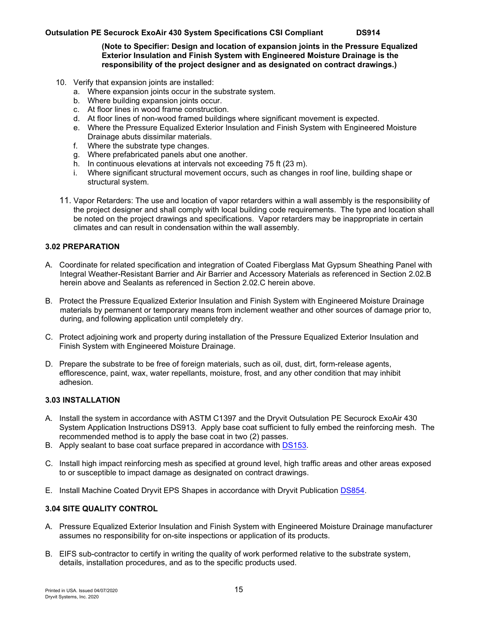#### **(Note to Specifier: Design and location of expansion joints in the Pressure Equalized Exterior Insulation and Finish System with Engineered Moisture Drainage is the responsibility of the project designer and as designated on contract drawings.)**

- 10. Verify that expansion joints are installed:
	- a. Where expansion joints occur in the substrate system.
	- b. Where building expansion joints occur.
	- c. At floor lines in wood frame construction.
	- d. At floor lines of non-wood framed buildings where significant movement is expected.
	- e. Where the Pressure Equalized Exterior Insulation and Finish System with Engineered Moisture Drainage abuts dissimilar materials.
	- f. Where the substrate type changes.
	- g. Where prefabricated panels abut one another.
	- h. In continuous elevations at intervals not exceeding 75 ft (23 m).
	- i. Where significant structural movement occurs, such as changes in roof line, building shape or structural system.
- 11. Vapor Retarders: The use and location of vapor retarders within a wall assembly is the responsibility of the project designer and shall comply with local building code requirements. The type and location shall be noted on the project drawings and specifications. Vapor retarders may be inappropriate in certain climates and can result in condensation within the wall assembly.

#### **3.02 PREPARATION**

- A. Coordinate for related specification and integration of Coated Fiberglass Mat Gypsum Sheathing Panel with Integral Weather-Resistant Barrier and Air Barrier and Accessory Materials as referenced in Section 2.02.B herein above and Sealants as referenced in Section 2.02.C herein above.
- B. Protect the Pressure Equalized Exterior Insulation and Finish System with Engineered Moisture Drainage materials by permanent or temporary means from inclement weather and other sources of damage prior to, during, and following application until completely dry.
- C. Protect adjoining work and property during installation of the Pressure Equalized Exterior Insulation and Finish System with Engineered Moisture Drainage.
- D. Prepare the substrate to be free of foreign materials, such as oil, dust, dirt, form-release agents, efflorescence, paint, wax, water repellants, moisture, frost, and any other condition that may inhibit adhesion.

#### **3.03 INSTALLATION**

- A. Install the system in accordance with ASTM C1397 and the Dryvit Outsulation PE Securock ExoAir 430 System Application Instructions DS913. Apply base coat sufficient to fully embed the reinforcing mesh. The recommended method is to apply the base coat in two (2) passes.
- B. Apply sealant to base coat surface prepared in accordance with [DS153.](https://www.dryvit.com/fileshare/doc/us/description/ds153.pdf)
- C. Install high impact reinforcing mesh as specified at ground level, high traffic areas and other areas exposed to or susceptible to impact damage as designated on contract drawings.
- E. Install Machine Coated Dryvit EPS Shapes in accordance with Dryvit Publication [DS854.](http://www.dryvit.com/media/362613/ds854.pdf)

#### **3.04 SITE QUALITY CONTROL**

- A. Pressure Equalized Exterior Insulation and Finish System with Engineered Moisture Drainage manufacturer assumes no responsibility for on-site inspections or application of its products.
- B. EIFS sub-contractor to certify in writing the quality of work performed relative to the substrate system, details, installation procedures, and as to the specific products used.